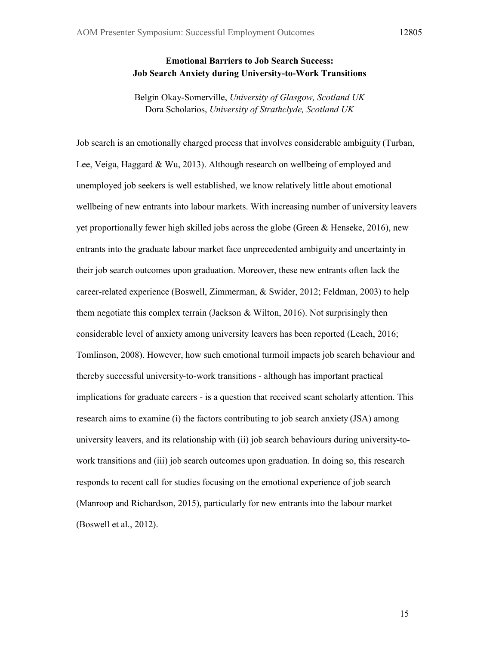# **Emotional Barriers to Job Search Success: Job Search Anxiety during University-to-Work Transitions**

Belgin Okay-Somerville, *University of Glasgow, Scotland UK* Dora Scholarios, *University of Strathclyde, Scotland UK*

Job search is an emotionally charged process that involves considerable ambiguity (Turban, Lee, Veiga, Haggard & Wu, 2013). Although research on wellbeing of employed and unemployed job seekers is well established, we know relatively little about emotional wellbeing of new entrants into labour markets. With increasing number of university leavers yet proportionally fewer high skilled jobs across the globe (Green  $&$  Henseke, 2016), new entrants into the graduate labour market face unprecedented ambiguity and uncertainty in their job search outcomes upon graduation. Moreover, these new entrants often lack the career-related experience (Boswell, Zimmerman, & Swider, 2012; Feldman, 2003) to help them negotiate this complex terrain (Jackson  $\&$  Wilton, 2016). Not surprisingly then considerable level of anxiety among university leavers has been reported (Leach, 2016; Tomlinson, 2008). However, how such emotional turmoil impacts job search behaviour and thereby successful university-to-work transitions - although has important practical implications for graduate careers - is a question that received scant scholarly attention. This research aims to examine (i) the factors contributing to job search anxiety (JSA) among university leavers, and its relationship with (ii) job search behaviours during university-towork transitions and (iii) job search outcomes upon graduation. In doing so, this research responds to recent call for studies focusing on the emotional experience of job search (Manroop and Richardson, 2015), particularly for new entrants into the labour market (Boswell et al., 2012).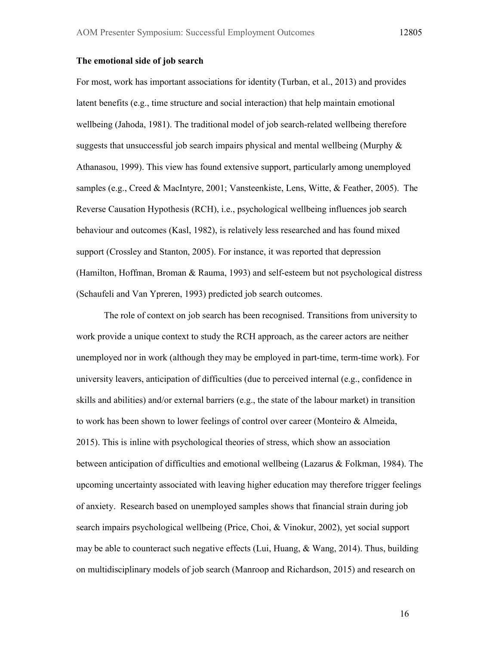## **The emotional side of job search**

For most, work has important associations for identity (Turban, et al., 2013) and provides latent benefits (e.g., time structure and social interaction) that help maintain emotional wellbeing (Jahoda, 1981). The traditional model of job search-related wellbeing therefore suggests that unsuccessful job search impairs physical and mental wellbeing (Murphy  $\&$ Athanasou, 1999). This view has found extensive support, particularly among unemployed samples (e.g., Creed & MacIntyre, 2001; Vansteenkiste, Lens, Witte, & Feather, 2005). The Reverse Causation Hypothesis (RCH), i.e., psychological wellbeing influences job search behaviour and outcomes (Kasl, 1982), is relatively less researched and has found mixed support (Crossley and Stanton, 2005). For instance, it was reported that depression (Hamilton, Hoffman, Broman & Rauma, 1993) and self-esteem but not psychological distress (Schaufeli and Van Ypreren, 1993) predicted job search outcomes.

The role of context on job search has been recognised. Transitions from university to work provide a unique context to study the RCH approach, as the career actors are neither unemployed nor in work (although they may be employed in part-time, term-time work). For university leavers, anticipation of difficulties (due to perceived internal (e.g., confidence in skills and abilities) and/or external barriers (e.g., the state of the labour market) in transition to work has been shown to lower feelings of control over career (Monteiro & Almeida, 2015). This is inline with psychological theories of stress, which show an association between anticipation of difficulties and emotional wellbeing (Lazarus & Folkman, 1984). The upcoming uncertainty associated with leaving higher education may therefore trigger feelings of anxiety. Research based on unemployed samples shows that financial strain during job search impairs psychological wellbeing (Price, Choi, & Vinokur, 2002), yet social support may be able to counteract such negative effects (Lui, Huang,  $\&$  Wang, 2014). Thus, building on multidisciplinary models of job search (Manroop and Richardson, 2015) and research on

16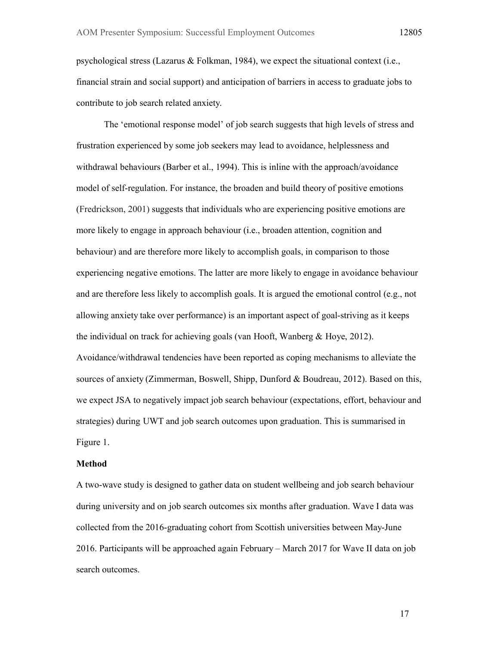psychological stress (Lazarus & Folkman, 1984), we expect the situational context (i.e., financial strain and social support) and anticipation of barriers in access to graduate jobs to contribute to job search related anxiety.

The 'emotional response model' of job search suggests that high levels of stress and frustration experienced by some job seekers may lead to avoidance, helplessness and withdrawal behaviours (Barber et al., 1994). This is inline with the approach/avoidance model of self-regulation. For instance, the broaden and build theory of positive emotions (Fredrickson, 2001) suggests that individuals who are experiencing positive emotions are more likely to engage in approach behaviour (i.e., broaden attention, cognition and behaviour) and are therefore more likely to accomplish goals, in comparison to those experiencing negative emotions. The latter are more likely to engage in avoidance behaviour and are therefore less likely to accomplish goals. It is argued the emotional control (e.g., not allowing anxiety take over performance) is an important aspect of goal-striving as it keeps the individual on track for achieving goals (van Hooft, Wanberg & Hoye, 2012). Avoidance/withdrawal tendencies have been reported as coping mechanisms to alleviate the sources of anxiety (Zimmerman, Boswell, Shipp, Dunford & Boudreau, 2012). Based on this, we expect JSA to negatively impact job search behaviour (expectations, effort, behaviour and strategies) during UWT and job search outcomes upon graduation. This is summarised in Figure 1.

#### **Method**

A two-wave study is designed to gather data on student wellbeing and job search behaviour during university and on job search outcomes six months after graduation. Wave I data was collected from the 2016-graduating cohort from Scottish universities between May-June 2016. Participants will be approached again February – March 2017 for Wave II data on job search outcomes.

17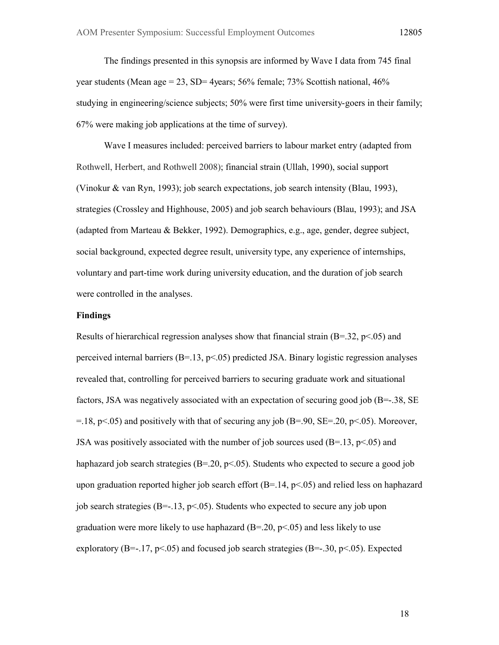The findings presented in this synopsis are informed by Wave I data from 745 final year students (Mean age = 23, SD= 4years;  $56\%$  female;  $73\%$  Scottish national,  $46\%$ studying in engineering/science subjects; 50% were first time university-goers in their family; 67% were making job applications at the time of survey).

Wave I measures included: perceived barriers to labour market entry (adapted from Rothwell, Herbert, and Rothwell 2008); financial strain (Ullah, 1990), social support (Vinokur & van Ryn, 1993); job search expectations, job search intensity (Blau, 1993), strategies (Crossley and Highhouse, 2005) and job search behaviours (Blau, 1993); and JSA (adapted from Marteau & Bekker, 1992). Demographics, e.g., age, gender, degree subject, social background, expected degree result, university type, any experience of internships, voluntary and part-time work during university education, and the duration of job search were controlled in the analyses.

#### **Findings**

Results of hierarchical regression analyses show that financial strain  $(B=.32, p<.05)$  and perceived internal barriers  $(B=13, p<0.05)$  predicted JSA. Binary logistic regression analyses revealed that, controlling for perceived barriers to securing graduate work and situational factors, JSA was negatively associated with an expectation of securing good job  $(B=-.38, SE)$  $=$ .18, p $\le$ .05) and positively with that of securing any job (B=.90, SE=.20, p $\le$ .05). Moreover, JSA was positively associated with the number of job sources used  $(B=13, p<05)$  and haphazard job search strategies ( $B = 20$ ,  $p < 0.05$ ). Students who expected to secure a good job upon graduation reported higher job search effort  $(B=.14, p<.05)$  and relied less on haphazard job search strategies (B=-.13, p<.05). Students who expected to secure any job upon graduation were more likely to use haphazard  $(B=20, p<0.05)$  and less likely to use exploratory (B=-.17, p<.05) and focused job search strategies (B=-.30, p<.05). Expected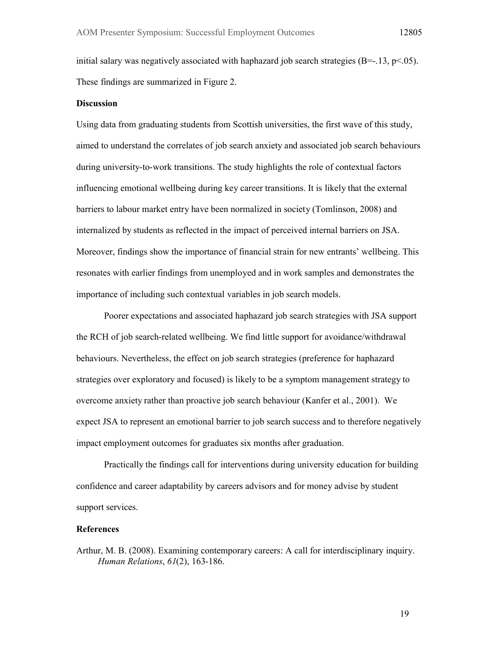initial salary was negatively associated with haphazard job search strategies  $(B=-.13, p<.05)$ . These findings are summarized in Figure 2.

## **Discussion**

Using data from graduating students from Scottish universities, the first wave of this study, aimed to understand the correlates of job search anxiety and associated job search behaviours during university-to-work transitions. The study highlights the role of contextual factors influencing emotional wellbeing during key career transitions. It is likely that the external barriers to labour market entry have been normalized in society (Tomlinson, 2008) and internalized by students as reflected in the impact of perceived internal barriers on JSA. Moreover, findings show the importance of financial strain for new entrants' wellbeing. This resonates with earlier findings from unemployed and in work samples and demonstrates the importance of including such contextual variables in job search models.

Poorer expectations and associated haphazard job search strategies with JSA support the RCH of job search-related wellbeing. We find little support for avoidance/withdrawal behaviours. Nevertheless, the effect on job search strategies (preference for haphazard strategies over exploratory and focused) is likely to be a symptom management strategy to overcome anxiety rather than proactive job search behaviour (Kanfer et al., 2001). We expect JSA to represent an emotional barrier to job search success and to therefore negatively impact employment outcomes for graduates six months after graduation.

Practically the findings call for interventions during university education for building confidence and career adaptability by careers advisors and for money advise by student support services.

### **References**

Arthur, M. B. (2008). Examining contemporary careers: A call for interdisciplinary inquiry. *Human Relations*, *61*(2), 163-186.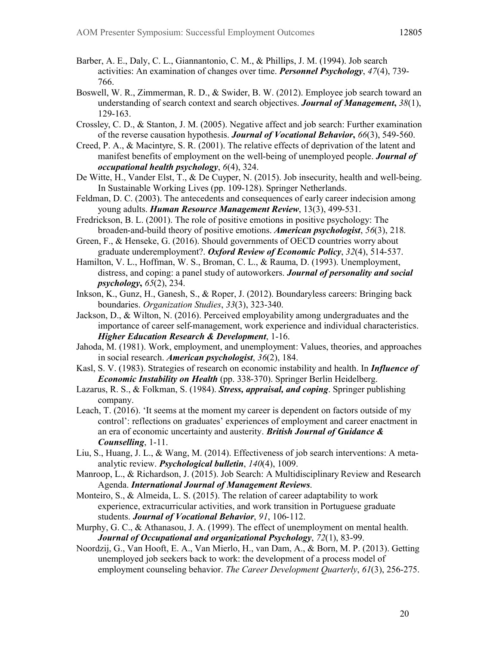- Barber, A. E., Daly, C. L., Giannantonio, C. M., & Phillips, J. M. (1994). Job search activities: An examination of changes over time. *Personnel Psychology*, *47*(4), 739- 766.
- Boswell, W. R., Zimmerman, R. D., & Swider, B. W. (2012). Employee job search toward an understanding of search context and search objectives. *Journal of Management***,** *38*(1), 129-163.
- Crossley, C. D., & Stanton, J. M. (2005). Negative affect and job search: Further examination of the reverse causation hypothesis. *Journal of Vocational Behavior***,** *66*(3), 549-560.
- Creed, P. A., & Macintyre, S. R. (2001). The relative effects of deprivation of the latent and manifest benefits of employment on the well-being of unemployed people. *Journal of occupational health psychology*, *6*(4), 324.
- De Witte, H., Vander Elst, T., & De Cuyper, N. (2015). Job insecurity, health and well-being. In Sustainable Working Lives (pp. 109-128). Springer Netherlands.
- Feldman, D. C. (2003). The antecedents and consequences of early career indecision among young adults. *Human Resource Management Review*, 13(3), 499-531.
- Fredrickson, B. L. (2001). The role of positive emotions in positive psychology: The broaden-and-build theory of positive emotions. *American psychologist*, *56*(3), 218.
- Green, F., & Henseke, G. (2016). Should governments of OECD countries worry about graduate underemployment?. *Oxford Review of Economic Policy*, *32*(4), 514-537.
- Hamilton, V. L., Hoffman, W. S., Broman, C. L., & Rauma, D. (1993). Unemployment, distress, and coping: a panel study of autoworkers. *Journal of personality and social psychology***,** *65*(2), 234.
- Inkson, K., Gunz, H., Ganesh, S., & Roper, J. (2012). Boundaryless careers: Bringing back boundaries. *Organization Studies*, *33*(3), 323-340.
- Jackson, D., & Wilton, N. (2016). Perceived employability among undergraduates and the importance of career self-management, work experience and individual characteristics. *Higher Education Research & Development*, 1-16.
- Jahoda, M. (1981). Work, employment, and unemployment: Values, theories, and approaches in social research. *American psychologist*, *36*(2), 184.
- Kasl, S. V. (1983). Strategies of research on economic instability and health. In *Influence of Economic Instability on Health* (pp. 338-370). Springer Berlin Heidelberg.
- Lazarus, R. S., & Folkman, S. (1984). *Stress, appraisal, and coping*. Springer publishing company.
- Leach, T. (2016). 'It seems at the moment my career is dependent on factors outside of my control': reflections on graduates' experiences of employment and career enactment in an era of economic uncertainty and austerity. *British Journal of Guidance & Counselling*, 1-11.
- Liu, S., Huang, J. L., & Wang, M. (2014). Effectiveness of job search interventions: A metaanalytic review. *Psychological bulletin*, *140*(4), 1009.
- Manroop, L., & Richardson, J. (2015). Job Search: A Multidisciplinary Review and Research Agenda. *International Journal of Management Reviews*.
- Monteiro, S., & Almeida, L. S. (2015). The relation of career adaptability to work experience, extracurricular activities, and work transition in Portuguese graduate students. *Journal of Vocational Behavior*, *91*, 106-112.
- Murphy, G. C., & Athanasou, J. A. (1999). The effect of unemployment on mental health. *Journal of Occupational and organizational Psychology*, *72*(1), 83-99.
- Noordzij, G., Van Hooft, E. A., Van Mierlo, H., van Dam, A., & Born, M. P. (2013). Getting unemployed job seekers back to work: the development of a process model of employment counseling behavior. *The Career Development Quarterly*, *61*(3), 256-275.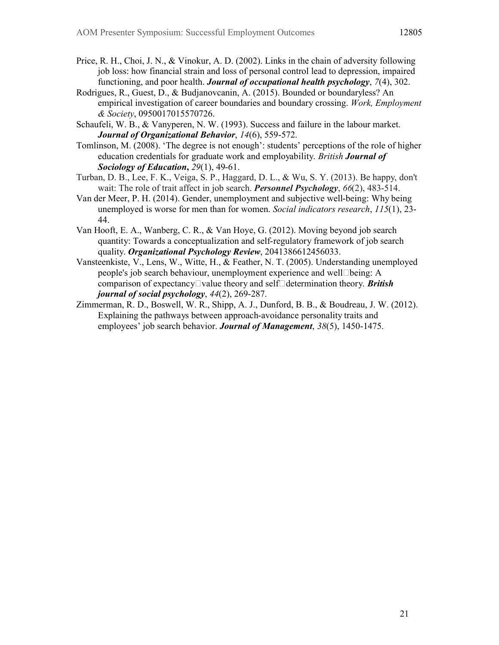- Price, R. H., Choi, J. N., & Vinokur, A. D. (2002). Links in the chain of adversity following job loss: how financial strain and loss of personal control lead to depression, impaired functioning, and poor health. *Journal of occupational health psychology*, *7*(4), 302.
- Rodrigues, R., Guest, D., & Budjanovcanin, A. (2015). Bounded or boundaryless? An empirical investigation of career boundaries and boundary crossing. *Work, Employment & Society*, 0950017015570726.
- Schaufeli, W. B., & Vanyperen, N. W. (1993). Success and failure in the labour market. *Journal of Organizational Behavior*, *14*(6), 559-572.
- Tomlinson, M. (2008). 'The degree is not enough': students' perceptions of the role of higher education credentials for graduate work and employability. *British Journal of Sociology of Education***,** *29*(1), 49-61.
- Turban, D. B., Lee, F. K., Veiga, S. P., Haggard, D. L., & Wu, S. Y. (2013). Be happy, don't wait: The role of trait affect in job search. *Personnel Psychology*, *66*(2), 483-514.
- Van der Meer, P. H. (2014). Gender, unemployment and subjective well-being: Why being unemployed is worse for men than for women. *Social indicators research*, *115*(1), 23- 44.
- Van Hooft, E. A., Wanberg, C. R., & Van Hoye, G. (2012). Moving beyond job search quantity: Towards a conceptualization and self-regulatory framework of job search quality. *Organizational Psychology Review*, 2041386612456033.
- Vansteenkiste, V., Lens, W., Witte, H., & Feather, N. T. (2005). Understanding unemployed people's job search behaviour, unemployment experience and well **Deing**: A comparison of expectancy <u>Dvalue</u> theory and self determination theory. **British** *journal of social psychology*, *44*(2), 269-287.
- Zimmerman, R. D., Boswell, W. R., Shipp, A. J., Dunford, B. B., & Boudreau, J. W. (2012). Explaining the pathways between approach-avoidance personality traits and employees' job search behavior. *Journal of Management*, *38*(5), 1450-1475.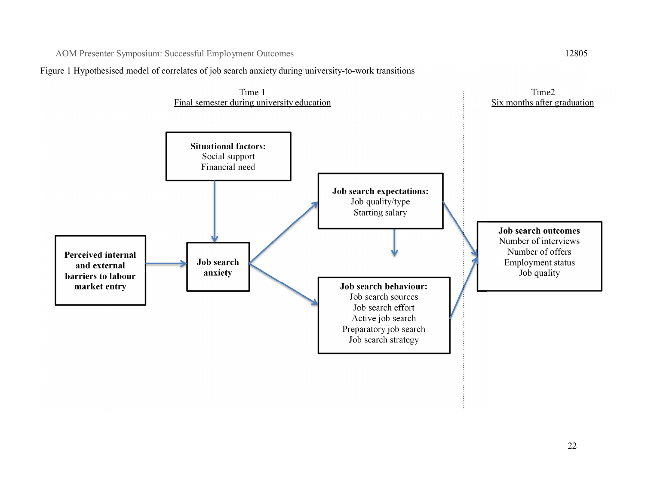AOM Presenter Symposium: Successful Employment Outcomes 12805

Figure 1 Hypothesised model of correlates of job search anxiety during university-to-work transitions